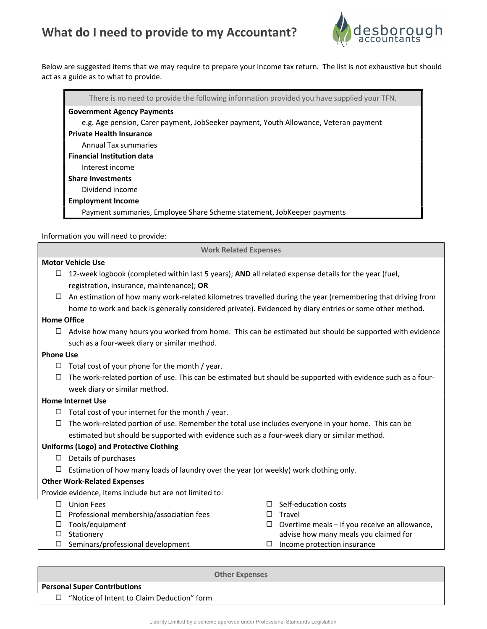# What do I need to provide to my Accountant?



Below are suggested items that we may require to prepare your income tax return. The list is not exhaustive but should act as a guide as to what to provide.

| There is no need to provide the following information provided you have supplied your TFN. |
|--------------------------------------------------------------------------------------------|
| <b>Government Agency Payments</b>                                                          |
| e.g. Age pension, Carer payment, JobSeeker payment, Youth Allowance, Veteran payment       |
| <b>Private Health Insurance</b>                                                            |
| Annual Tax summaries                                                                       |
| <b>Financial Institution data</b>                                                          |
| Interest income                                                                            |
| <b>Share Investments</b>                                                                   |
| Dividend income                                                                            |
| <b>Employment Income</b>                                                                   |
| Payment summaries, Employee Share Scheme statement, JobKeeper payments                     |

Information you will need to provide:

Work Related Expenses

# Motor Vehicle Use

- $\Box$  12-week logbook (completed within last 5 years); AND all related expense details for the year (fuel, registration, insurance, maintenance); OR
- $\Box$  An estimation of how many work-related kilometres travelled during the year (remembering that driving from home to work and back is generally considered private). Evidenced by diary entries or some other method.

#### Home Office

 $\Box$  Advise how many hours you worked from home. This can be estimated but should be supported with evidence such as a four-week diary or similar method.

#### Phone Use

- $\Box$  Total cost of your phone for the month / year.
- $\Box$  The work-related portion of use. This can be estimated but should be supported with evidence such as a fourweek diary or similar method.

# Home Internet Use

- $\Box$  Total cost of your internet for the month / year.
- $\Box$  The work-related portion of use. Remember the total use includes everyone in your home. This can be estimated but should be supported with evidence such as a four-week diary or similar method.

# Uniforms (Logo) and Protective Clothing

- $\Box$  Details of purchases
- $\Box$  Estimation of how many loads of laundry over the year (or weekly) work clothing only.

# Other Work-Related Expenses

Provide evidence, items include but are not limited to:

Union Fees  $\Box$  Professional membership/association fees Tools/equipment  $\square$  Stationery  $\square$  Seminars/professional development  $\square$  Self-education costs  $\Box$  Travel  $\Box$  Overtime meals – if you receive an allowance, advise how many meals you claimed for  $\Box$  Income protection insurance

#### Personal Super Contributions

□ "Notice of Intent to Claim Deduction" form

Other Expenses